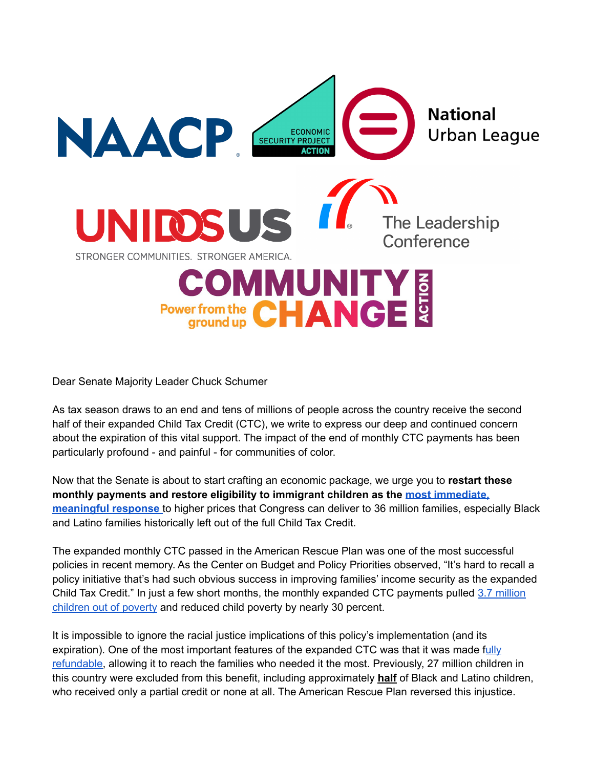

Dear Senate Majority Leader Chuck Schumer

As tax season draws to an end and tens of millions of people across the country receive the second half of their expanded Child Tax Credit (CTC), we write to express our deep and continued concern about the expiration of this vital support. The impact of the end of monthly CTC payments has been particularly profound - and painful - for communities of color.

Now that the Senate is about to start crafting an economic package, we urge you to **restart these monthly payments and restore eligibility to immigrant children as the most [immediate,](https://economicsecproj.org/CTC-inflation) [meaningful](https://economicsecproj.org/CTC-inflation) response** to higher prices that Congress can deliver to 36 million families, especially Black and Latino families historically left out of the full Child Tax Credit.

The expanded monthly CTC passed in the American Rescue Plan was one of the most successful policies in recent memory. As the Center on Budget and Policy Priorities observed, "It's hard to recall a policy initiative that's had such obvious success in improving families' income security as the expanded Child Tax Credit." In just a few short months, the monthly expanded CTC payments pulled 3.7 [million](https://www.povertycenter.columbia.edu/news-internal/monthly-poverty-december-2021) [children](https://www.povertycenter.columbia.edu/news-internal/monthly-poverty-december-2021) out of poverty and reduced child poverty by nearly 30 percent.

It is impossible to ignore the racial justice implications of this policy's implementation (and its expiration). One of the most important features of the expanded CTC was that it was made f[ully](https://www.cbpp.org/research/federal-tax/build-back-betters-child-tax-credit-changes-would-protect-millions-from) [refundable,](https://www.cbpp.org/research/federal-tax/build-back-betters-child-tax-credit-changes-would-protect-millions-from) allowing it to reach the families who needed it the most. Previously, 27 million children in this country were excluded from this benefit, including approximately **half** of Black and Latino children, who received only a partial credit or none at all. The American Rescue Plan reversed this injustice.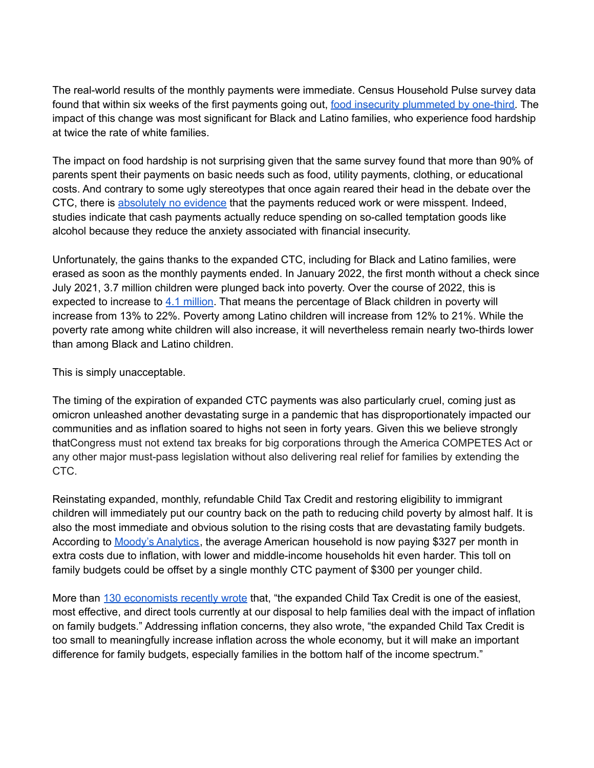The real-world results of the monthly payments were immediate. Census Household Pulse survey data found that within six weeks of the first payments going out, food insecurity [plummeted](https://www.cbpp.org/blog/after-child-tax-credit-payments-begin-many-more-families-have-enough-to-eat) by one-third. The impact of this change was most significant for Black and Latino families, who experience food hardship at twice the rate of white families.

The impact on food hardship is not surprising given that the same survey found that more than 90% of parents spent their payments on basic needs such as food, utility payments, clothing, or educational costs. And contrary to some ugly stereotypes that once again reared their head in the debate over the CTC, there is [absolutely](https://www.brookings.edu/research/the-impacts-of-the-2021-expanded-child-tax-credit-on-family-employment-nutrition-and-financial-well-being/) no evidence that the payments reduced work or were misspent. Indeed, studies indicate that cash payments actually reduce spending on so-called temptation goods like alcohol because they reduce the anxiety associated with financial insecurity.

Unfortunately, the gains thanks to the expanded CTC, including for Black and Latino families, were erased as soon as the monthly payments ended. In January 2022, the first month without a check since July 2021, 3.7 million children were plunged back into poverty. Over the course of 2022, this is expected to increase to 4.1 [million](https://www.cbpp.org/blog/tax-season-message-congress-should-dramatically-and-permanently-cut-child-poverty-with-an). That means the percentage of Black children in poverty will increase from 13% to 22%. Poverty among Latino children will increase from 12% to 21%. While the poverty rate among white children will also increase, it will nevertheless remain nearly two-thirds lower than among Black and Latino children.

This is simply unacceptable.

The timing of the expiration of expanded CTC payments was also particularly cruel, coming just as omicron unleashed another devastating surge in a pandemic that has disproportionately impacted our communities and as inflation soared to highs not seen in forty years. Given this we believe strongly thatCongress must not extend tax breaks for big corporations through the America COMPETES Act or any other major must-pass legislation without also delivering real relief for families by extending the CTC.

Reinstating expanded, monthly, refundable Child Tax Credit and restoring eligibility to immigrant children will immediately put our country back on the path to reducing child poverty by almost half. It is also the most immediate and obvious solution to the rising costs that are devastating family budgets. According to Moody's [Analytics,](https://www.cnbc.com/2022/04/13/inflation-is-costing-american-households-an-extra-327-a-month.html) the average American household is now paying \$327 per month in extra costs due to inflation, with lower and middle-income households hit even harder. This toll on family budgets could be offset by a single monthly CTC payment of \$300 per younger child.

More than 130 [economists](https://www.economicsecurityproject.org/wp-content/uploads/2022/04/Economist-letter-CTC-Inflation-April-2022-1-1.pdf) recently wrote that, "the expanded Child Tax Credit is one of the easiest, most effective, and direct tools currently at our disposal to help families deal with the impact of inflation on family budgets." Addressing inflation concerns, they also wrote, "the expanded Child Tax Credit is too small to meaningfully increase inflation across the whole economy, but it will make an important difference for family budgets, especially families in the bottom half of the income spectrum."